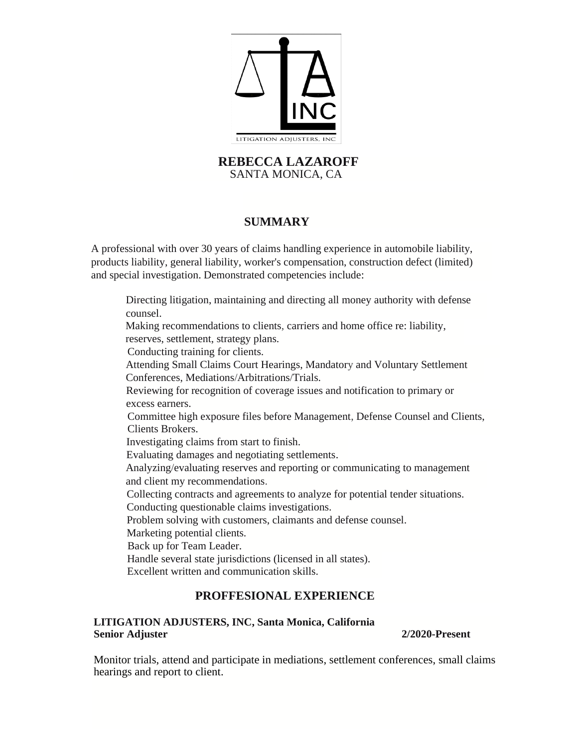

#### **REBECCA LAZAROFF** SANTA MONICA, CA

## **SUMMARY**

A professional with over 30 years of claims handling experience in automobile liability, products liability, general liability, worker's compensation, construction defect (limited) and special investigation. Demonstrated competencies include:

Directing litigation, maintaining and directing all money authority with defense counsel. Making recommendations to clients, carriers and home office re: liability, reserves, settlement, strategy plans. Conducting training for clients. Attending Small Claims Court Hearings, Mandatory and Voluntary Settlement Conferences, Mediations/Arbitrations/Trials. Reviewing for recognition of coverage issues and notification to primary or excess earners. Committee high exposure files before Management, Defense Counsel and Clients, Clients Brokers. Investigating claims from start to finish. Evaluating damages and negotiating settlements. Analyzing/evaluating reserves and reporting or communicating to management and client my recommendations. Collecting contracts and agreements to analyze for potential tender situations. Conducting questionable claims investigations. Problem solving with customers, claimants and defense counsel. Marketing potential clients. Back up for Team Leader. Handle several state jurisdictions (licensed in all states). Excellent written and communication skills.

# **PROFFESIONAL EXPERIENCE**

#### **LITIGATION ADJUSTERS, INC, Santa Monica, California Senior Adjuster 2/2020-Present**

Monitor trials, attend and participate in mediations, settlement conferences, small claims hearings and report to client.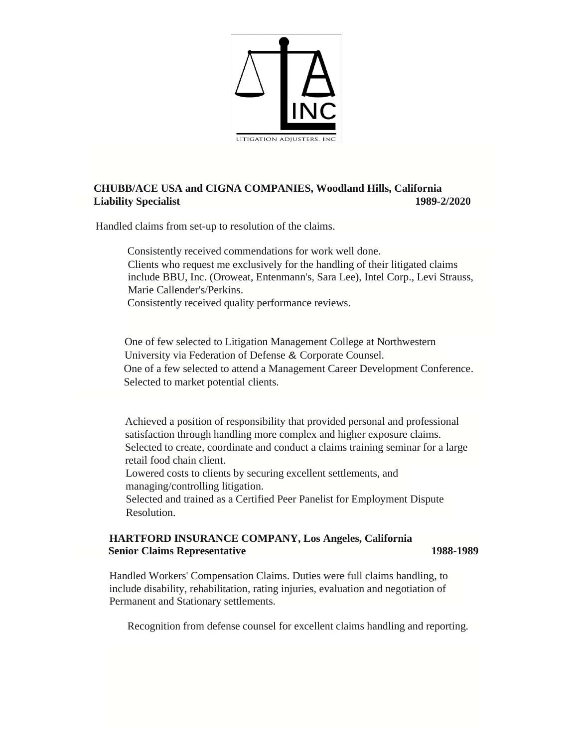

#### **CHUBB/ACE USA and CIGNA COMPANIES, Woodland Hills, California Liability Specialist 1989-2/2020**

Handled claims from set-up to resolution of the claims.

Consistently received commendations for work well done. Clients who request me exclusively for the handling of their litigated claims include BBU, Inc. (Oroweat, Entenmann's, Sara Lee), Intel Corp., Levi Strauss, Marie Callender's/Perkins. Consistently received quality performance reviews.

One of few selected to Litigation Management College at Northwestern University via Federation of Defense & Corporate Counsel. One of a few selected to attend a Management Career Development Conference. Selected to market potential clients.

Achieved a position of responsibility that provided personal and professional satisfaction through handling more complex and higher exposure claims. Selected to create, coordinate and conduct a claims training seminar for a large retail food chain client.

Lowered costs to clients by securing excellent settlements, and managing/controlling litigation.

Selected and trained as a Certified Peer Panelist for Employment Dispute Resolution.

#### **HARTFORD INSURANCE COMPANY, Los Angeles, California Senior Claims Representative 1988-1989 1988-1989**

Handled Workers' Compensation Claims. Duties were full claims handling, to include disability, rehabilitation, rating injuries, evaluation and negotiation of Permanent and Stationary settlements.

Recognition from defense counsel for excellent claims handling and reporting.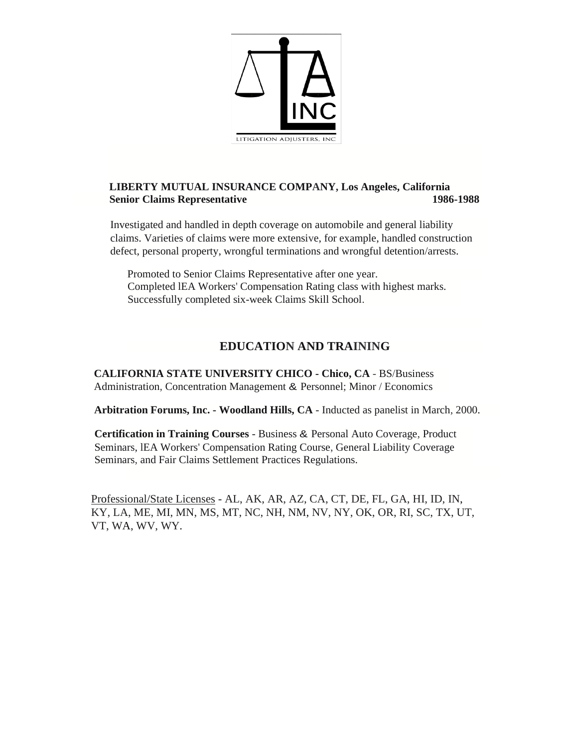

### **LIBERTY MUTUAL INSURANCE COMPANY, Los Angeles, California Senior Claims Representative 1986-1988**

Investigated and handled in depth coverage on automobile and general liability claims. Varieties of claims were more extensive, for example, handled construction defect, personal property, wrongful terminations and wrongful detention/arrests.

Promoted to Senior Claims Representative after one year. Completed lEA Workers' Compensation Rating class with highest marks. Successfully completed six-week Claims Skill School.

# **EDUCATION AND TRAINING**

**CALIFORNIA STATE UNIVERSITY CHICO - Chico, CA** - BS/Business Administration, Concentration Management & Personnel; Minor / Economics

**Arbitration Forums, Inc. - Woodland Hills, CA** - Inducted as panelist in March, 2000.

**Certification in Training Courses** - Business & Personal Auto Coverage, Product Seminars, lEA Workers' Compensation Rating Course, General Liability Coverage Seminars, and Fair Claims Settlement Practices Regulations.

Professional/State Licenses - AL, AK, AR, AZ, CA, CT, DE, FL, GA, HI, ID, IN, KY, LA, ME, MI, MN, MS, MT, NC, NH, NM, NV, NY, OK, OR, RI, SC, TX, UT, VT, WA, WV, WY.